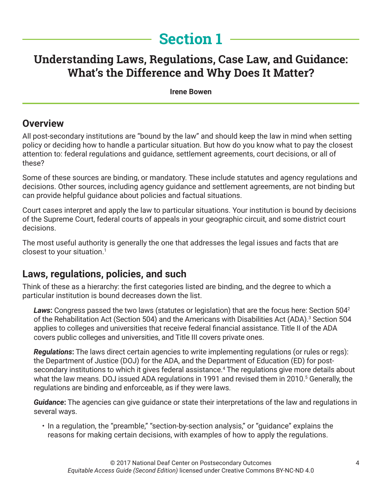# **Section 1**

## **Understanding Laws, Regulations, Case Law, and Guidance: What's the Difference and Why Does It Matter?**

**Irene Bowen**

#### **Overview**

All post-secondary institutions are "bound by the law" and should keep the law in mind when setting policy or deciding how to handle a particular situation. But how do you know what to pay the closest attention to: federal regulations and guidance, settlement agreements, court decisions, or all of these?

Some of these sources are binding, or mandatory. These include statutes and agency regulations and decisions. Other sources, including agency guidance and settlement agreements, are not binding but can provide helpful guidance about policies and factual situations.

Court cases interpret and apply the law to particular situations. Your institution is bound by decisions of the Supreme Court, federal courts of appeals in your geographic circuit, and some district court decisions.

The most useful authority is generally the one that addresses the legal issues and facts that are closest to your situation.<sup>1</sup>

#### **Laws, regulations, policies, and such**

Think of these as a hierarchy: the first categories listed are binding, and the degree to which a particular institution is bound decreases down the list.

*Laws***:** Congress passed the two laws (statutes or legislation) that are the focus here: Section 5042 of the Rehabilitation Act (Section 504) and the Americans with Disabilities Act (ADA).<sup>3</sup> Section 504 applies to colleges and universities that receive federal financial assistance. Title II of the ADA covers public colleges and universities, and Title III covers private ones.

*Regulations***:** The laws direct certain agencies to write implementing regulations (or rules or regs): the Department of Justice (DOJ) for the ADA, and the Department of Education (ED) for postsecondary institutions to which it gives federal assistance.<sup>4</sup> The regulations give more details about what the law means. DOJ issued ADA regulations in 1991 and revised them in 2010.<sup>5</sup> Generally, the regulations are binding and enforceable, as if they were laws.

*Guidance***:** The agencies can give guidance or state their interpretations of the law and regulations in several ways.

• In a regulation, the "preamble," "section-by-section analysis," or "guidance" explains the reasons for making certain decisions, with examples of how to apply the regulations.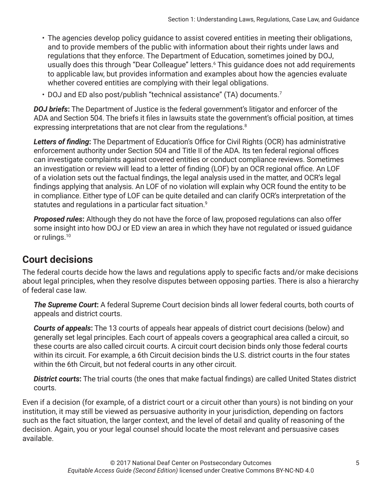- The agencies develop policy guidance to assist covered entities in meeting their obligations, and to provide members of the public with information about their rights under laws and regulations that they enforce. The Department of Education, sometimes joined by DOJ, usually does this through "Dear Colleague" letters.6 This guidance does not add requirements to applicable law, but provides information and examples about how the agencies evaluate whether covered entities are complying with their legal obligations.
- DOJ and ED also post/publish "technical assistance" (TA) documents.<sup>7</sup>

*DOJ briefs***:** The Department of Justice is the federal government's litigator and enforcer of the ADA and Section 504. The briefs it files in lawsuits state the government's official position, at times expressing interpretations that are not clear from the regulations.<sup>8</sup>

*Letters of finding***:** The Department of Education's Office for Civil Rights (OCR) has administrative enforcement authority under Section 504 and Title II of the ADA. Its ten federal regional offices can investigate complaints against covered entities or conduct compliance reviews. Sometimes an investigation or review will lead to a letter of finding (LOF) by an OCR regional office. An LOF of a violation sets out the factual findings, the legal analysis used in the matter, and OCR's legal findings applying that analysis. An LOF of no violation will explain why OCR found the entity to be in compliance. Either type of LOF can be quite detailed and can clarify OCR's interpretation of the statutes and regulations in a particular fact situation.<sup>9</sup>

*Proposed rules***:** Although they do not have the force of law, proposed regulations can also offer some insight into how DOJ or ED view an area in which they have not regulated or issued guidance or rulings.<sup>10</sup>

#### **Court decisions**

The federal courts decide how the laws and regulations apply to specific facts and/or make decisions about legal principles, when they resolve disputes between opposing parties. There is also a hierarchy of federal case law.

*The Supreme Court***:** A federal Supreme Court decision binds all lower federal courts, both courts of appeals and district courts.

*Courts of appeals***:** The 13 courts of appeals hear appeals of district court decisions (below) and generally set legal principles. Each court of appeals covers a geographical area called a circuit, so these courts are also called circuit courts. A circuit court decision binds only those federal courts within its circuit. For example, a 6th Circuit decision binds the U.S. district courts in the four states within the 6th Circuit, but not federal courts in any other circuit.

*District courts***:** The trial courts (the ones that make factual findings) are called United States district courts.

Even if a decision (for example, of a district court or a circuit other than yours) is not binding on your institution, it may still be viewed as persuasive authority in your jurisdiction, depending on factors such as the fact situation, the larger context, and the level of detail and quality of reasoning of the decision. Again, you or your legal counsel should locate the most relevant and persuasive cases available.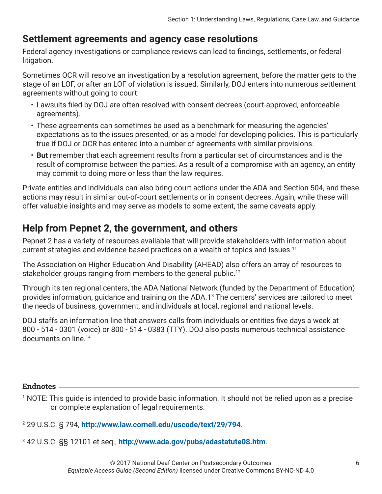#### **Settlement agreements and agency case resolutions**

Federal agency investigations or compliance reviews can lead to findings, settlements, or federal litigation.

Sometimes OCR will resolve an investigation by a resolution agreement, before the matter gets to the stage of an LOF, or after an LOF of violation is issued. Similarly, DOJ enters into numerous settlement agreements without going to court.

- Lawsuits filed by DOJ are often resolved with consent decrees (court-approved, enforceable agreements).
- These agreements can sometimes be used as a benchmark for measuring the agencies' expectations as to the issues presented, or as a model for developing policies. This is particularly true if DOJ or OCR has entered into a number of agreements with similar provisions.
- **But** remember that each agreement results from a particular set of circumstances and is the result of compromise between the parties. As a result of a compromise with an agency, an entity may commit to doing more or less than the law requires.

Private entities and individuals can also bring court actions under the ADA and Section 504, and these actions may result in similar out-of-court settlements or in consent decrees. Again, while these will offer valuable insights and may serve as models to some extent, the same caveats apply.

### **Help from Pepnet 2, the government, and others**

Pepnet 2 has a variety of resources available that will provide stakeholders with information about current strategies and evidence-based practices on a wealth of topics and issues.11

The Association on Higher Education And Disability (AHEAD) also offers an array of resources to stakeholder groups ranging from members to the general public.<sup>12</sup>

Through its ten regional centers, the ADA National Network (funded by the Department of Education) provides information, guidance and training on the ADA.13 The centers' services are tailored to meet the needs of business, government, and individuals at local, regional and national levels.

DOJ staffs an information line that answers calls from individuals or entities five days a week at 800 - 514 - 0301 (voice) or 800 - 514 - 0383 (TTY). DOJ also posts numerous technical assistance documents on line.14

#### **Endnotes**

- 1 NOTE: This guide is intended to provide basic information. It should not be relied upon as a precise or complete explanation of legal requirements.
- 2 29 U.S.C. § 794, **<http://www.law.cornell.edu/uscode/text/29/794>**.
- 3 42 U.S.C. §§ 12101 et seq., **<http://www.ada.gov/pubs/adastatute08.htm>**.